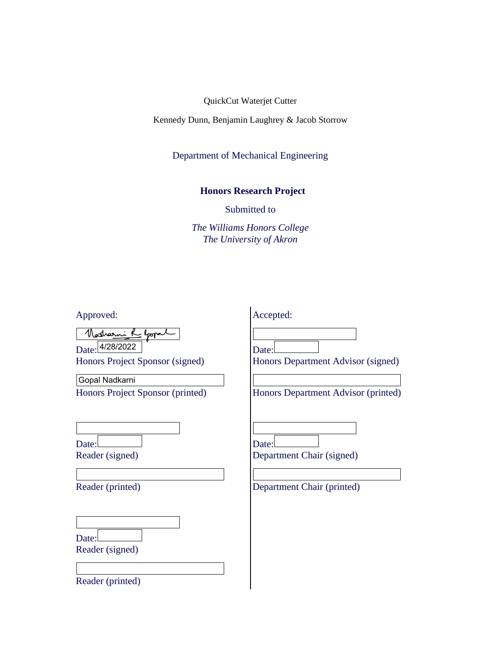Kennedy Dunn, Benjamin Laughrey & Jacob Storrow

Department of Mechanical Engineering

## **Honors Research Project**

Submitted to

*The Williams Honors College The University of Akron*

| Approved:                                                    | Accepted:                                                        |
|--------------------------------------------------------------|------------------------------------------------------------------|
| <u> Nosharni R</u> epopal<br>Honors Project Sponsor (signed) | Date:<br>Honors Department Advisor (signed)                      |
| Gopal Nadkarni<br>Honors Project Sponsor (printed)           | Honors Department Advisor (printed)                              |
| Date:<br>Reader (signed)<br>Reader (printed)                 | Date:<br>Department Chair (signed)<br>Department Chair (printed) |
| Date:<br>Reader (signed)<br>Reader (printed)                 |                                                                  |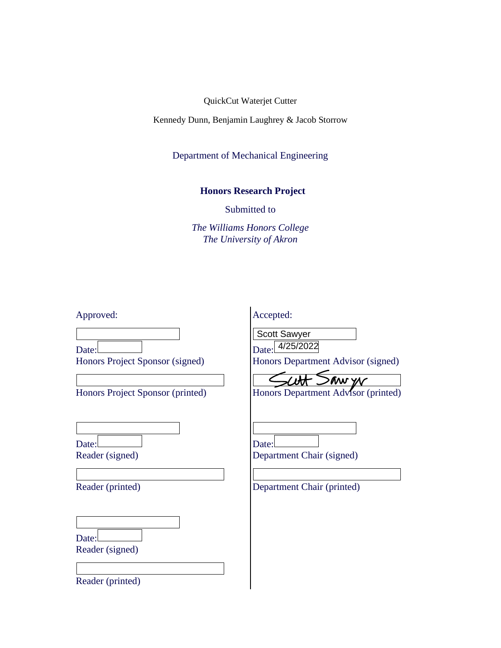Kennedy Dunn, Benjamin Laughrey & Jacob Storrow

Department of Mechanical Engineering

## **Honors Research Project**

Submitted to

*The Williams Honors College The University of Akron*

Approved:

Accepted:

Date: Honors Project Sponsor (signed)

Honors Project Sponsor (printed)

Date: Reader (signed)

Reader (printed)

Date: Reader (signed)

Reader (printed)

Scott Sawyer

Date: 4/25/2022 Honors Department Advisor (signed)

 $\epsilon$  $>$  aw yr

Honors Department Advisor (printed)

| Date:                     |  |
|---------------------------|--|
| Department Chair (signed) |  |

Department Chair (printed)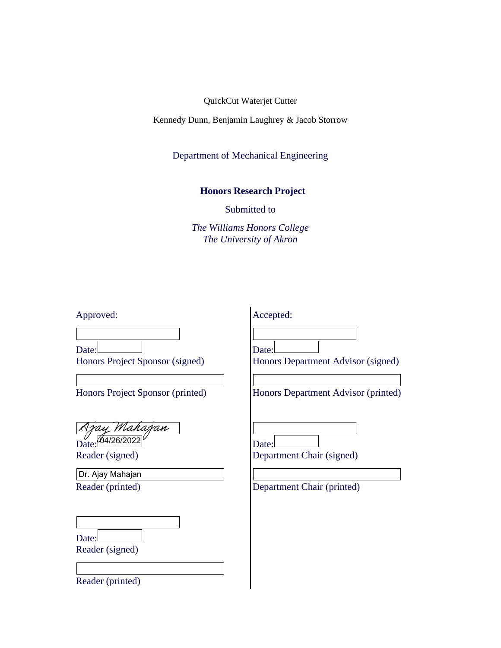Kennedy Dunn, Benjamin Laughrey & Jacob Storrow

Department of Mechanical Engineering

## **Honors Research Project**

Submitted to

*The Williams Honors College The University of Akron*

| Approved:                                                                    | Accepted:                                                                          |
|------------------------------------------------------------------------------|------------------------------------------------------------------------------------|
| Date:<br>Honors Project Sponsor (signed)<br>Honors Project Sponsor (printed) | Date:<br>Honors Department Advisor (signed)<br>Honors Department Advisor (printed) |
| Azay Mahazan<br>Reader (signed)                                              | Date:<br>Department Chair (signed)                                                 |
| Dr. Ajay Mahajan<br>Reader (printed)                                         | Department Chair (printed)                                                         |
| Date:<br>Reader (signed)                                                     |                                                                                    |

 $\overline{\phantom{a}}$ 

Reader (printed)